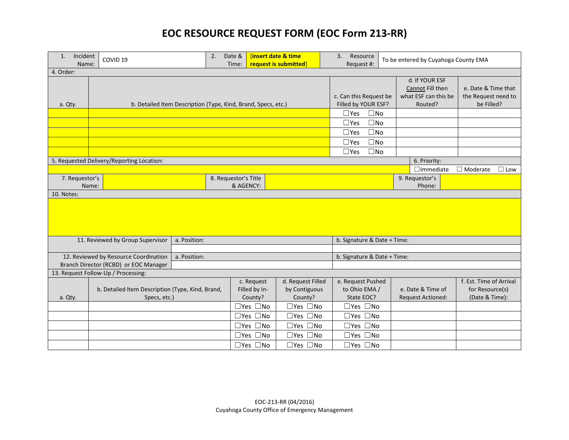## **EOC RESOURCE REQUEST FORM (EOC Form 213-RR)**

| Incident<br>1.<br>Name:                                                                        | COVID <sub>19</sub>                                              |                                   | <b>linsert date &amp; time</b><br>2.<br>Date &<br>request is submitted<br>Time: |                                               | 3.<br>Resource                                | To be entered by Cuyahoga County EMA<br>Request #:                    |                                                          |                                               |                                                              |  |
|------------------------------------------------------------------------------------------------|------------------------------------------------------------------|-----------------------------------|---------------------------------------------------------------------------------|-----------------------------------------------|-----------------------------------------------|-----------------------------------------------------------------------|----------------------------------------------------------|-----------------------------------------------|--------------------------------------------------------------|--|
| 4. Order:                                                                                      |                                                                  |                                   |                                                                                 |                                               |                                               |                                                                       |                                                          |                                               |                                                              |  |
| a. Qty.                                                                                        | b. Detailed Item Description (Type, Kind, Brand, Specs, etc.)    |                                   |                                                                                 | c. Can this Request be<br>Filled by YOUR ESF? |                                               | d. If YOUR ESF<br>Cannot Fill then<br>what ESF can this be<br>Routed? | e. Date & Time that<br>the Request need to<br>be Filled? |                                               |                                                              |  |
|                                                                                                |                                                                  |                                   |                                                                                 |                                               |                                               | $\square$ No<br>$\Box$ Yes                                            |                                                          |                                               |                                                              |  |
|                                                                                                |                                                                  | $\square$ No<br>$\square$ Yes     |                                                                                 |                                               |                                               |                                                                       |                                                          |                                               |                                                              |  |
|                                                                                                |                                                                  | $\square$ No<br>$\Box$ Yes        |                                                                                 |                                               |                                               |                                                                       |                                                          |                                               |                                                              |  |
|                                                                                                |                                                                  |                                   |                                                                                 |                                               |                                               |                                                                       |                                                          |                                               |                                                              |  |
|                                                                                                |                                                                  |                                   |                                                                                 |                                               | $\square$ No<br>$\square$ Yes                 |                                                                       |                                                          |                                               |                                                              |  |
| 5. Requested Delivery/Reporting Location:                                                      |                                                                  |                                   |                                                                                 |                                               |                                               |                                                                       |                                                          | 6. Priority:                                  |                                                              |  |
|                                                                                                |                                                                  |                                   |                                                                                 |                                               |                                               |                                                                       |                                                          | $\Box$ Immediate                              | $\Box$ Moderate<br>$\Box$ Low                                |  |
| 7. Requestor's                                                                                 |                                                                  | 8. Requestor's Title<br>& AGENCY: |                                                                                 |                                               |                                               | 9. Requestor's<br>Phone:                                              |                                                          |                                               |                                                              |  |
| Name:<br>10. Notes:                                                                            |                                                                  |                                   |                                                                                 |                                               |                                               |                                                                       |                                                          |                                               |                                                              |  |
|                                                                                                |                                                                  |                                   |                                                                                 |                                               |                                               |                                                                       |                                                          |                                               |                                                              |  |
| 11. Reviewed by Group Supervisor                                                               |                                                                  | a. Position:                      |                                                                                 |                                               |                                               |                                                                       | b. Signature & Date + Time:                              |                                               |                                                              |  |
|                                                                                                |                                                                  |                                   |                                                                                 |                                               |                                               | b. Signature & Date + Time:                                           |                                                          |                                               |                                                              |  |
| 12. Reviewed by Resource Coordination<br>a. Position:<br>Branch Director (RCBD) or EOC Manager |                                                                  |                                   |                                                                                 |                                               |                                               |                                                                       |                                                          |                                               |                                                              |  |
| 13. Request Follow-Up / Processing:                                                            |                                                                  |                                   |                                                                                 |                                               |                                               |                                                                       |                                                          |                                               |                                                              |  |
| a. Qty.                                                                                        | b. Detailed Item Description (Type, Kind, Brand,<br>Specs, etc.) |                                   |                                                                                 | c. Request<br>Filled by In-<br>County?        | d. Request Filled<br>by Contiguous<br>County? | e. Request Pushed<br>to Ohio EMA /<br>State EOC?                      |                                                          | e. Date & Time of<br><b>Request Actioned:</b> | f. Est. Time of Arrival<br>for Resource(s)<br>(Date & Time): |  |
|                                                                                                |                                                                  |                                   |                                                                                 | $\square$ Yes $\square$ No                    | $\square$ Yes $\square$ No                    | $\square$ Yes $\square$ No                                            |                                                          |                                               |                                                              |  |
|                                                                                                |                                                                  |                                   |                                                                                 | $\square$ Yes $\square$ No                    | $\Box$ Yes $\Box$ No                          | $\square$ Yes $\square$ No                                            |                                                          |                                               |                                                              |  |
|                                                                                                |                                                                  |                                   |                                                                                 | $\square$ Yes $\square$ No                    | $\Box$ Yes $\Box$ No                          | □Yes □No                                                              |                                                          |                                               |                                                              |  |
|                                                                                                |                                                                  |                                   |                                                                                 | $\square$ Yes $\square$ No                    | $\square$ Yes $\square$ No                    | $\square$ Yes $\square$ No                                            |                                                          |                                               |                                                              |  |
|                                                                                                |                                                                  |                                   |                                                                                 | $\square$ Yes $\square$ No                    | $\square$ Yes $\square$ No                    | $\Box$ Yes $\Box$ No                                                  |                                                          |                                               |                                                              |  |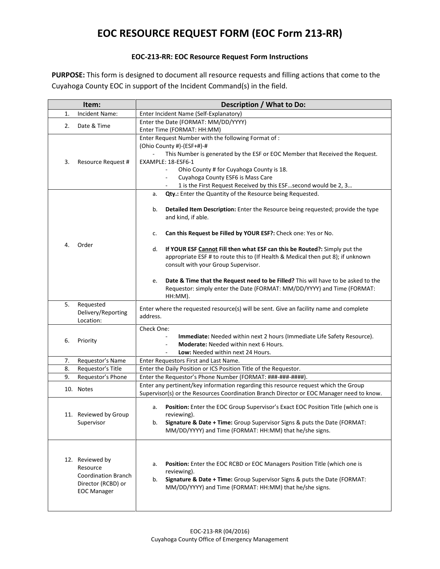## **EOC RESOURCE REQUEST FORM (EOC Form 213-RR)**

## **EOC-213-RR: EOC Resource Request Form Instructions**

**PURPOSE:** This form is designed to document all resource requests and filling actions that come to the Cuyahoga County EOC in support of the Incident Command(s) in the field.

| Item: |                                                                                                       | Description / What to Do:                                                                                                                                                                                                                                                                                                                                                                  |  |  |  |  |  |
|-------|-------------------------------------------------------------------------------------------------------|--------------------------------------------------------------------------------------------------------------------------------------------------------------------------------------------------------------------------------------------------------------------------------------------------------------------------------------------------------------------------------------------|--|--|--|--|--|
| 1.    | Incident Name:                                                                                        | Enter Incident Name (Self-Explanatory)                                                                                                                                                                                                                                                                                                                                                     |  |  |  |  |  |
| 2.    | Date & Time                                                                                           | Enter the Date (FORMAT: MM/DD/YYYY)                                                                                                                                                                                                                                                                                                                                                        |  |  |  |  |  |
|       |                                                                                                       | Enter Time (FORMAT: HH:MM)                                                                                                                                                                                                                                                                                                                                                                 |  |  |  |  |  |
| 3.    | Resource Request #                                                                                    | Enter Request Number with the following Format of:<br>(Ohio County #)-(ESF+#)-#<br>This Number is generated by the ESF or EOC Member that Received the Request.<br>EXAMPLE: 18-ESF6-1<br>Ohio County # for Cuyahoga County is 18.<br>Cuyahoga County ESF6 is Mass Care<br>$\blacksquare$<br>1 is the First Request Received by this ESFsecond would be 2, 3                                |  |  |  |  |  |
| 4.    | Order                                                                                                 | Qty.: Enter the Quantity of the Resource being Requested.<br>a.<br>Detailed Item Description: Enter the Resource being requested; provide the type<br>b.<br>and kind, if able.<br>Can this Request be Filled by YOUR ESF?: Check one: Yes or No.<br>c.                                                                                                                                     |  |  |  |  |  |
|       |                                                                                                       | If YOUR ESF Cannot Fill then what ESF can this be Routed?: Simply put the<br>d.<br>appropriate ESF # to route this to (If Health & Medical then put 8); if unknown<br>consult with your Group Supervisor.<br>Date & Time that the Request need to be Filled? This will have to be asked to the<br>e.<br>Requestor: simply enter the Date (FORMAT: MM/DD/YYYY) and Time (FORMAT:<br>HH:MM). |  |  |  |  |  |
| 5.    | Requested<br>Delivery/Reporting<br>Location:                                                          | Enter where the requested resource(s) will be sent. Give an facility name and complete<br>address.                                                                                                                                                                                                                                                                                         |  |  |  |  |  |
| 6.    | Priority                                                                                              | Check One:<br>Immediate: Needed within next 2 hours (Immediate Life Safety Resource).<br>$\blacksquare$<br><b>Moderate:</b> Needed within next 6 Hours.<br>Low: Needed within next 24 Hours.                                                                                                                                                                                               |  |  |  |  |  |
| 7.    | Requestor's Name                                                                                      | Enter Requestors First and Last Name.                                                                                                                                                                                                                                                                                                                                                      |  |  |  |  |  |
| 8.    | Requestor's Title                                                                                     | Enter the Daily Position or ICS Position Title of the Requestor.                                                                                                                                                                                                                                                                                                                           |  |  |  |  |  |
| 9.    | Requestor's Phone                                                                                     | Enter the Requestor's Phone Number (FORMAT: ###-###-#####).                                                                                                                                                                                                                                                                                                                                |  |  |  |  |  |
|       | 10. Notes                                                                                             | Enter any pertinent/key information regarding this resource request which the Group<br>Supervisor(s) or the Resources Coordination Branch Director or EOC Manager need to know.                                                                                                                                                                                                            |  |  |  |  |  |
|       | 11. Reviewed by Group<br>Supervisor                                                                   | Position: Enter the EOC Group Supervisor's Exact EOC Position Title (which one is<br>а.<br>reviewing).<br>Signature & Date + Time: Group Supervisor Signs & puts the Date (FORMAT:<br>b.<br>MM/DD/YYYY) and Time (FORMAT: HH:MM) that he/she signs.                                                                                                                                        |  |  |  |  |  |
|       | 12. Reviewed by<br>Resource<br><b>Coordination Branch</b><br>Director (RCBD) or<br><b>EOC Manager</b> | Position: Enter the EOC RCBD or EOC Managers Position Title (which one is<br>а.<br>reviewing).<br>Signature & Date + Time: Group Supervisor Signs & puts the Date (FORMAT:<br>b.<br>MM/DD/YYYY) and Time (FORMAT: HH:MM) that he/she signs.                                                                                                                                                |  |  |  |  |  |